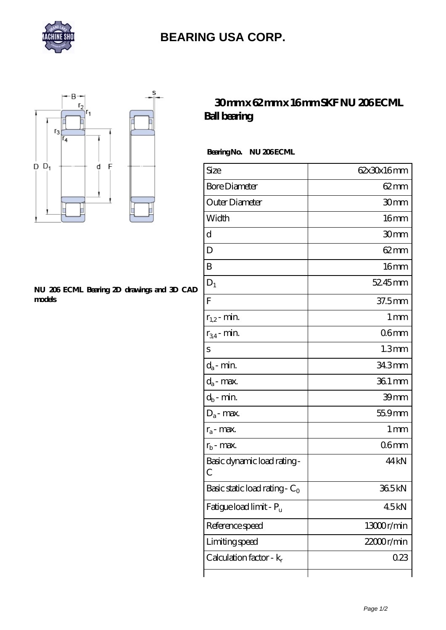

# **[BEARING USA CORP.](https://anotherworldbb.com)**



#### **[NU 206 ECML Bearing 2D drawings and 3D CAD](https://anotherworldbb.com/pic-65096311.html) [models](https://anotherworldbb.com/pic-65096311.html)**

## **[30 mm x 62 mm x 16 mm SKF NU 206 ECML](https://anotherworldbb.com/sell-65096311-30-mm-x-62-mm-x-16-mm-skf-nu-206-ecml-ball-bearing.html) [Ball bearing](https://anotherworldbb.com/sell-65096311-30-mm-x-62-mm-x-16-mm-skf-nu-206-ecml-ball-bearing.html)**

### Bearing No. NU 206 ECML

| Size                                      | 62x30x16mm          |
|-------------------------------------------|---------------------|
| <b>Bore Diameter</b>                      | $62 \text{mm}$      |
| Outer Diameter                            | 30mm                |
| Width                                     | 16 <sub>mm</sub>    |
| d                                         | 30mm                |
| D                                         | $62 \text{mm}$      |
| B                                         | 16 <sub>mm</sub>    |
| $D_1$                                     | 52.45mm             |
| F                                         | 37.5mm              |
| $r_{1,2}$ - min.                          | 1 <sub>mm</sub>     |
| $r_{34}$ - min.                           | 06 <sub>mm</sub>    |
| S                                         | 1.3 <sub>mm</sub>   |
| $d_a$ - min.                              | 343mm               |
| $d_a$ - max.                              | $361 \,\mathrm{mm}$ |
| $d_b$ - min.                              | 39mm                |
| $D_a$ - max.                              | 55.9mm              |
| $r_a$ - max.                              | 1 <sub>mm</sub>     |
| $r_{b}$ - max.                            | 06 <sub>mm</sub>    |
| Basic dynamic load rating-<br>С           | 44 <sub>kN</sub>    |
| Basic static load rating - C <sub>0</sub> | 365kN               |
| Fatigue load limit - Pu                   | 45kN                |
| Reference speed                           | 13000r/min          |
| Limiting speed                            | $22000$ r/min       |
| Calculation factor - $k_r$                | 0.23                |
|                                           |                     |